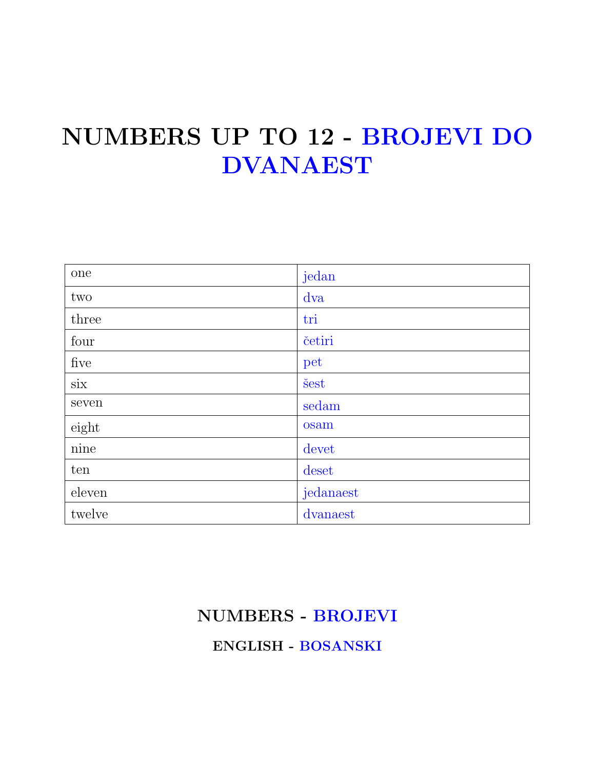### NUMBERS UP TO 12 - BROJEVI DO DVANAEST

| one             | jedan     |
|-----------------|-----------|
| two             | dva       |
| three           | tri       |
| four            | četiri    |
| five            | pet       |
| $\dot{\rm six}$ | šest      |
| seven           | sedam     |
| eight           | osam      |
| nine            | devet     |
| ten             | deset     |
| eleven          | jedanaest |
| twelve          | dvanaest  |

### NUMBERS - BROJEVI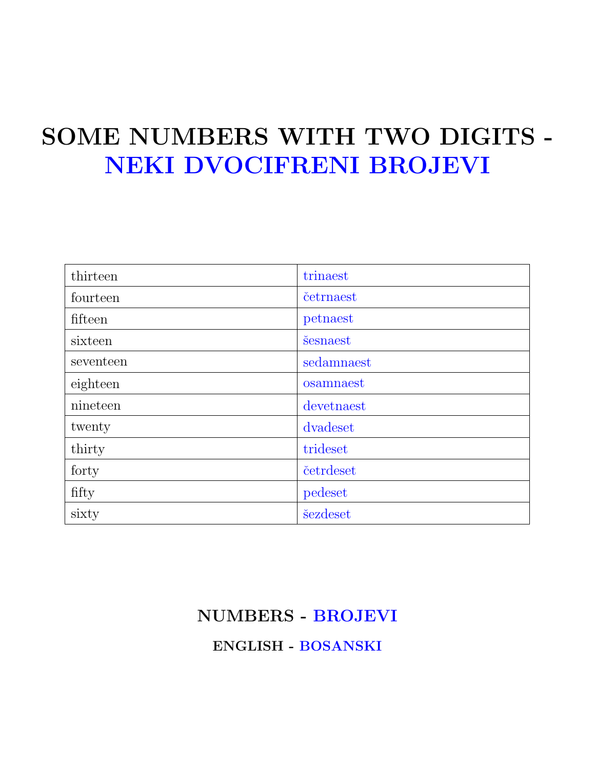## SOME NUMBERS WITH TWO DIGITS - NEKI DVOCIFRENI BROJEVI

| thirteen  | trinaest   |
|-----------|------------|
| fourteen  | četrnaest  |
| fifteen   | petnaest   |
| sixteen   | šesnaest   |
| seventeen | sedamnaest |
| eighteen  | osamnaest  |
| nineteen  | devetnaest |
| twenty    | dvadeset   |
| thirty    | trideset   |
| forty     | četrdeset  |
| fifty     | pedeset    |
| sixty     | šezdeset   |

#### NUMBERS - BROJEVI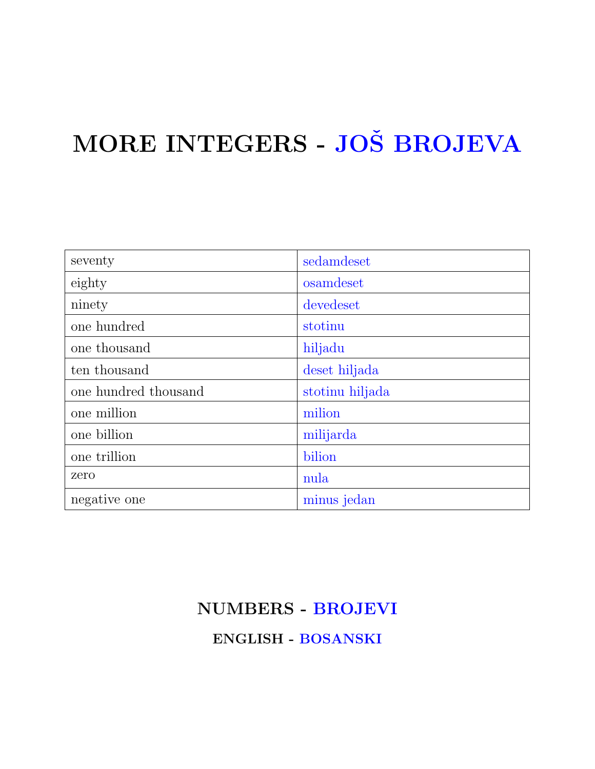# MORE INTEGERS - JOŠ BROJEVA

| seventy              | sedamdeset      |
|----------------------|-----------------|
| eighty               | osamdeset       |
| ninety               | devedeset       |
| one hundred          | stotinu         |
| one thousand         | hiljadu         |
| ten thousand         | deset hiljada   |
| one hundred thousand | stotinu hiljada |
| one million          | milion          |
| one billion          | milijarda       |
| one trillion         | bilion          |
| zero                 | nula            |
| negative one         | minus jedan     |

### NUMBERS - BROJEVI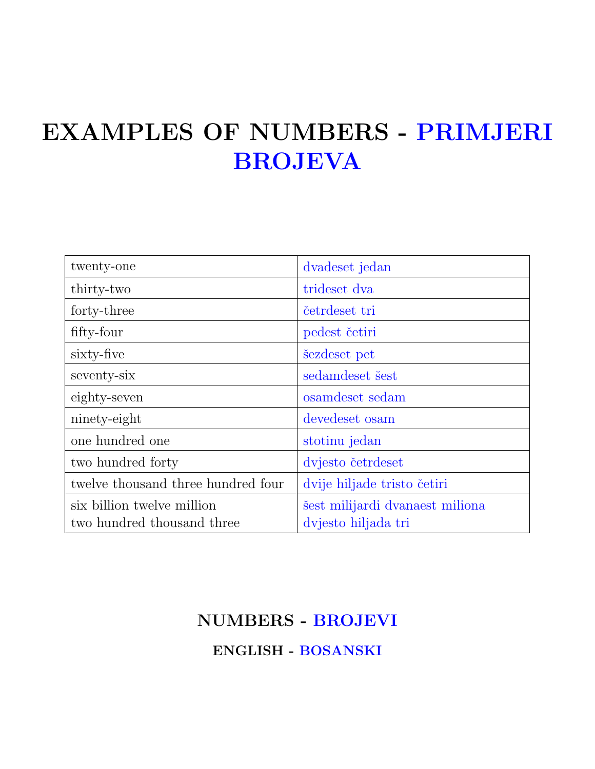### EXAMPLES OF NUMBERS - PRIMJERI BROJEVA

| twenty-one                         | dvadeset jedan                  |
|------------------------------------|---------------------------------|
| thirty-two                         | trideset dva                    |
| forty-three                        | četrdeset tri                   |
| fifty-four                         | pedest četiri                   |
| sixty-five                         | sezdeset pet                    |
| seventy-six                        | sedamdeset šest                 |
| eighty-seven                       | osamdeset sedam                 |
| ninety-eight                       | devedeset osam                  |
| one hundred one                    | stotinu jedan                   |
| two hundred forty                  | dvjesto četrdeset               |
| twelve thousand three hundred four | dvije hiljade tristo četiri     |
| six billion twelve million         | šest milijardi dvanaest miliona |
| two hundred thousand three         | dvjesto hiljada tri             |

#### NUMBERS - BROJEVI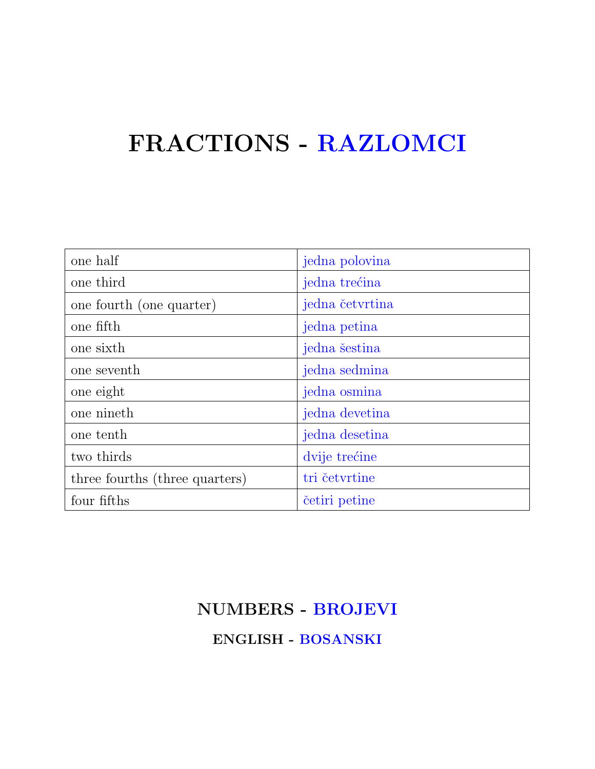### FRACTIONS - RAZLOMCI

| one half                       | jedna polovina  |
|--------------------------------|-----------------|
| one third                      | jedna trećina   |
| one fourth (one quarter)       | jedna četvrtina |
| one fifth                      | jedna petina    |
| one sixth                      | jedna šestina   |
| one seventh                    | jedna sedmina   |
| one eight                      | jedna osmina    |
| one nineth                     | jedna devetina  |
| one tenth                      | jedna desetina  |
| two thirds                     | dvije trećine   |
| three fourths (three quarters) | tri četvrtine   |
| four fifths                    | četiri petine   |

### NUMBERS - BROJEVI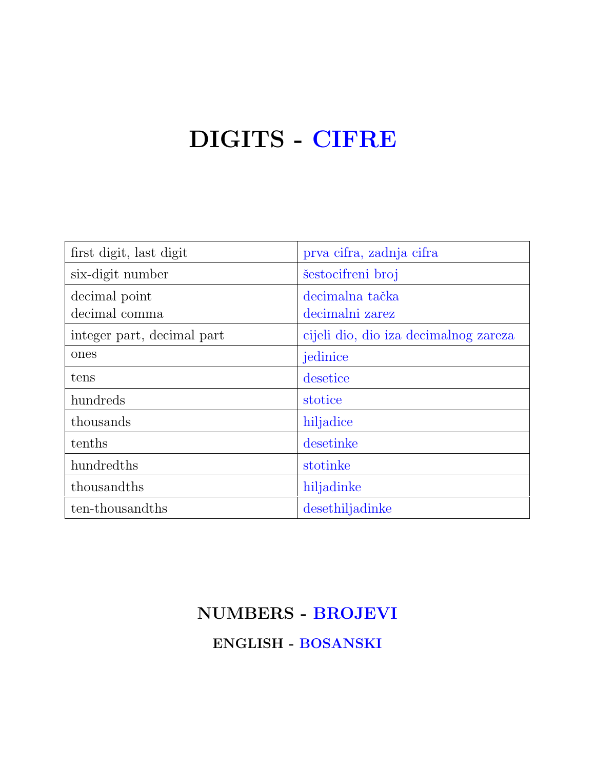### DIGITS - CIFRE

| first digit, last digit    | prva cifra, zadnja cifra              |
|----------------------------|---------------------------------------|
| six-digit number           | šestocifreni broj                     |
| decimal point              | decimalna tačka                       |
| decimal comma              | decimalni zarez                       |
| integer part, decimal part | cijeli dio, dio iza decimalnog zareza |
| ones                       | jedinice                              |
| tens                       | desetice                              |
| hundreds                   | stotice                               |
| thousands                  | hiljadice                             |
| tenths                     | desetinke                             |
| hundredths                 | stotinke                              |
| thousandths                | hiljadinke                            |
| ten-thousandths            | desethiljadinke                       |

### NUMBERS - BROJEVI